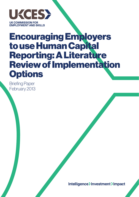

# **Encouraging Employers<br>to use Human Capital Reporting: A Literature Review of Implementation** Options

**Briefing Paper** February 2013

Intelligence>Investment>Impact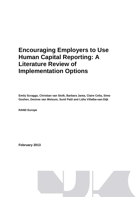## **Encouraging Employers to Use Human Capital Reporting: A Literature Review of Implementation Options**

**Emily Scraggs, Christian van Stolk, Barbara Janta, Claire Celia, Simo Goshev, Desiree van Welsum, Sunil Patil and Lidia Villalba-van-Dijk**

**RAND Europe**

**February 2013**

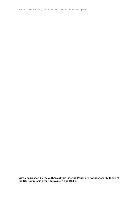Human Capital Reporting: A Literature Review of Implementation Options

**Views expressed by the authors of this Briefing Paper are not necessarily those of the UK Commission for Employment and Skills.**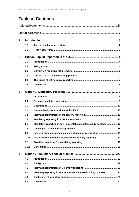### **Table of Contents**

| $\mathbf 1$    |      |                                                                      |  |  |
|----------------|------|----------------------------------------------------------------------|--|--|
|                | 1.1  |                                                                      |  |  |
|                | 1.2  |                                                                      |  |  |
| $\overline{2}$ |      |                                                                      |  |  |
|                | 2.1  |                                                                      |  |  |
|                | 2.2  |                                                                      |  |  |
|                | 2.3  |                                                                      |  |  |
|                | 2.4  |                                                                      |  |  |
|                | 2.5  |                                                                      |  |  |
|                | 2.6  |                                                                      |  |  |
| 3              |      |                                                                      |  |  |
|                | 3.1  |                                                                      |  |  |
|                | 3.2  |                                                                      |  |  |
|                | 3.3  |                                                                      |  |  |
|                | 3.4  |                                                                      |  |  |
|                | 3.5  |                                                                      |  |  |
|                | 3.6  |                                                                      |  |  |
|                | 3.7  | Mandatory reporting in environmental and sustainability contexts  17 |  |  |
|                | 3.8  |                                                                      |  |  |
|                | 3.9  | Issues around conceptual aspects of mandatory reporting  18          |  |  |
|                | 3.10 | Issues around technical aspects of mandatory reporting  19           |  |  |
|                | 3.11 |                                                                      |  |  |
|                | 3.12 |                                                                      |  |  |
| 4              |      |                                                                      |  |  |
|                | 4.1  |                                                                      |  |  |
|                | 4.2  |                                                                      |  |  |
|                | 4.3  |                                                                      |  |  |
|                | 4.4  | Voluntary reporting in environmental and sustainability contexts  24 |  |  |
|                | 4.5  |                                                                      |  |  |
|                | 4.6  |                                                                      |  |  |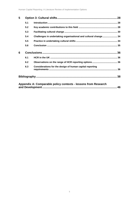| 5 |     |                                                                |  |
|---|-----|----------------------------------------------------------------|--|
|   | 5.1 |                                                                |  |
|   | 5.2 |                                                                |  |
|   | 5.3 |                                                                |  |
|   | 5.4 | Challenges in undertaking organisational and cultural change34 |  |
|   | 5.5 |                                                                |  |
|   | 5.6 |                                                                |  |
| 6 |     |                                                                |  |
|   | 6.1 |                                                                |  |
|   | 6.2 |                                                                |  |
|   | 6.3 | Considerations for the design of human capital reporting       |  |
|   |     |                                                                |  |
|   |     | Appendix A: Comparable policy contexts - lessons from Research |  |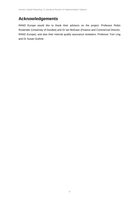### **Acknowledgements**

RAND Europe would like to thank their advisors on the project: Professor Robin Roslender (University of Dundee) and Dr Ian McEwan (Finance and Commercial Director, RAND Europe); and also their internal quality assurance reviewers, Professor Tom Ling and Dr Susan Guthrie.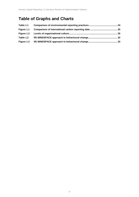### **Table of Graphs and Charts**

| Table 1.1  |  |
|------------|--|
| Figure 1.1 |  |
|            |  |
| Table 1.2  |  |
| Figure 1.3 |  |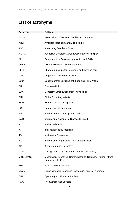### **List of acronyms**

| <b>Acronym</b>   | <b>Full title</b>                                                                      |
|------------------|----------------------------------------------------------------------------------------|
| <b>ACCA</b>      | <b>Association of Chartered Certified Accountants</b>                                  |
| <b>ANSI</b>      | American National Standards Institute                                                  |
| <b>ASB</b>       | <b>Accounting Standards Board</b>                                                      |
| A-GAAP           | Australian Generally Agreed Accountancy Principles                                     |
| <b>BIS</b>       | Department for Business, Innovation and Skills                                         |
| <b>CDSB</b>      | <b>Climate Disclosure Standards Board</b>                                              |
| <b>CIPD</b>      | Chartered Institute for Personnel and Development                                      |
| <b>CSR</b>       | Corporate social responsibility                                                        |
| Defra            | Department for Environment, Food and Rural Affairs                                     |
| EU               | European Union                                                                         |
| GAAP             | <b>Generally Agreed Accountancy Principles</b>                                         |
| <b>GRI</b>       | <b>Global Reporting Initiative</b>                                                     |
| <b>HCM</b>       | Human Capital Management                                                               |
| <b>HCR</b>       | Human Capital Reporting                                                                |
| IAS              | <b>International Accounting Standards</b>                                              |
| <b>IASB</b>      | International Accounting Standards Board                                               |
| IC               | Intellectual capital                                                                   |
| <b>ICR</b>       | Intellectual capital reporting                                                         |
| lfG              | Institute for Government                                                               |
| <b>ISO</b>       | International Organization for Standardization                                         |
| <b>KPI</b>       | Key performance indicators                                                             |
| MD&A             | Management's Discussion and Analysis (Canada)                                          |
| <b>MINDSPACE</b> | Messenger, Incentives, Norms, Defaults, Salience, Priming, Affect,<br>Commitments, Ego |
| <b>NHS</b>       | <b>National Health Service</b>                                                         |
| <b>OECD</b>      | Organisation for Economic Cooperation and Development                                  |
| <b>OFR</b>       | <b>Operating and Financial Review</b>                                                  |
| <b>PWC</b>       | PriceWaterhouseCoopers                                                                 |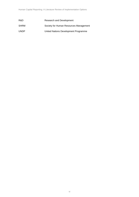| R&D         | Research and Development               |
|-------------|----------------------------------------|
| <b>SHRM</b> | Society for Human Resources Management |
| <b>UNDP</b> | United Nations Development Programme   |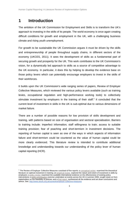### **1 Introduction**

 $\overline{a}$ 

The ambition of the UK Commission for Employment and Skills is to transform the UK's approach to investing in the skills of its people. The world economy is once again creating difficult conditions for growth and employment in the UK, with a challenging business climate and rising youth unemployment.

For growth to be sustainable the UK Commission argues it must be driven by the skills and entrepreneurship of people throughout supply chains, in different sectors of the economy (UKCES, 2011). It sees the development of skills as a fundamental part of securing growth and prosperity for the UK. This work contributes to the UK Commission's vision, for a dynamically led approach to skills as a source of competitive advantage to the UK economy. In particular, it does this by helping to develop the evidence base on those policy levers which can potentially encourage employers to invest in the skills of their workforces.

It builds upon the UK Commission's wide ranging series of papers, Review of Employer Collective Measures, which reviewed the various policy levers available (such as training levies, occupational regulation and high-performance working tools) to collectively stimulate investment by employers in the training of their staff.<sup>[1](#page-9-0)</sup> It concluded that the current level of investment in skills in the UK is sub-optimal due to various dimensions of market failure.

There are a number of possible reasons for low provision of skills development and training, with patterns based on size of organisation and sectoral specialisation. Barriers to training include: imperfect information; staff willingness to train; access to suitable training provision; fear of poaching and short-termism in investment decisions. The reporting of human capital is seen as one of the ways in which aspects of information failure and short-termism could be countered as the value of human capital could be more clearly evidenced. This literature review is intended to contribute additional knowledge and understanding towards our understanding of the policy lever of human capital reporting (HCR).

<span id="page-9-0"></span><sup>1</sup> The Review of Employer Collective Measures consisted of five reports: [a conceptual review](http://www.ukces.org.uk/assets/ukces/docs/publications/evidence-report-6-employer-collective-measures-conceptual-review.pdf)examined the theoretical literature on optimal investment in training; an [empirical review e](http://www.ukces.org.uk/assets/ukces/docs/publications/evidence-report-7-employer-collective-measures-empirical-review.pdf)xplored the nature and extent of investment in skills by employers; a [policy review e](http://www.ukces.org.uk/assets/ukces/docs/publications/evidence-report-8-employer-collective-measures-policy-review.pdf)xamined the available international evidence on the effectiveness of existing policy interventions; a [policy prioritisation](http://www.ukces.org.uk/assets/ukces/docs/publications/evidence-report-9-employer-collective-measures-policy-prioritisation.pdf) *exercise* undertaken at events across the UK in summer 2008, sought views on from stakeholders on the feasibility of policies; and a [final report](http://www.ukces.org.uk/assets/ukces/docs/publications/evidence-report-10-employer-collective-measures-final-report.pdf) synthesized all the evidence and set down conclusions and advice. See[: http://www.ukces.org.uk/ourwork/employer-collective-measures](http://www.ukces.org.uk/ourwork/employer-collective-measures)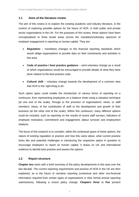#### **1.1 Aims of the literature review**

The aim of this review is to explore the existing academic and industry literature, in the context of exploring possible options for the future of HCR, in both public and private sector organisations in the UK. For the purposes of this review, these options have been conceptualised to three broad areas across the mandatory/voluntary spectrum of employer engagement in reporting on human capital. They are:

- **Regulation** mandatory changes to the financial reporting standards which would oblige organisations to provide data on their investments and activities in this area.
- **Code of practice / best practice guidance** semi-voluntary change as a result of which organisations would be encouraged to provide details of what they have done relative to the best practice code.
- **Cultural shift** voluntary change towards the development of a common view that HCR is the 'right thing to do'.

Such option types could enable the introduction of various forms of reporting on a continuum, from representing employees on a balance sheet using a valuation technique (at one end of the scale), through to the provision of organisations' views, or staff members' views, of the contribution of staff to the development and growth of their business (at the other end of the scale). Within this continuum, many different options could be included, such as reporting on the results of recent staff surveys, indicators of employee motivation, commitment and engagement, labour turnover and employment relations.

The focus of this research is to consider, within the contextual space of these options, the nature of existing regulation or practice and how this came about, what current practice looks like and potential challenges in introducing the respective option in question to encourage employers to report on human capital. It draws on UK and international evidence to identify best practice and assess the options.

#### **1.2 Report structure**

**Chapter two** starts with a brief summary of the policy developments in this area over the last decade. The current reporting requirements and practice of HCR in the UK are then explained, as is the future of narrative reporting (contextual and other non-financial information required from certain types of organisations in their formal annual reporting submissions), following a recent policy change. **Chapters three** to **five** present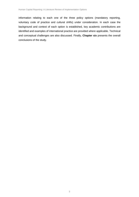information relating to each one of the three policy options (mandatory reporting, voluntary code of practice and cultural shifts) under consideration. In each case the background and context of each option is established, key academic contributions are identified and examples of international practice are provided where applicable. Technical and conceptual challenges are also discussed. Finally, **Chapter six** presents the overall conclusions of the study.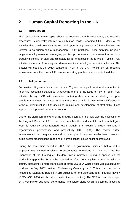### **2 Human Capital Reporting in the UK**

#### **2.1 Introduction**

The issue of how human capital should be reported through accountancy and reporting procedures is generally referred to as human capital reporting (HCR). Many of the activities that could potentially be reported upon through various HCR mechanisms are referred to as human capital management (HCM) practices. These activities include a range of employee-related strategies, policies, procedures and processes that focus on producing benefit for staff and ultimately for an organisation as a whole. Typical HCM activities include staff training and development and employee retention schemes. This chapter will set out the policy context for HCR in the UK. The current UK reporting requirements and the current UK narrative reporting practices are presented in detail.

#### **2.2 Policy context**

Successive UK governments over the last 20 years have paid considerable attention to reforming accounting standards. A recurring theme is the issue of how to report HCM activities through HCR, with a view to countering short-termism and dealing with poor people management. A related issue is the extent to which it may make a difference in terms of investment in HCM (including training and development of staff skills) if one approach is supported rather than another.

One of the significant markers of the growing interest in this field was the publication of the Kingsmill Review in 2001. This review reached the fundamental conclusion that good HCM is routinely under-reported, even though it is clearly a crucial element in organisations' performance and productivity (DTI, 2001). The review further recommended that the government should set up an inquiry to consider how private and public sector organisations' reporting of human capital issues might be improved.

During the same time period in 2001, the UK government indicated that a shift in emphasis was planned in relation to accountancy regulations. In June 2001, the then Chancellor of the Exchequer, Gordon Brown indicated, during a speech on the productivity gap in the UK, that he intended to reform company law in order to make the country increasingly enterprise focused (Ferran, 2001). A White Paper was subsequently produced in July 2002, entitled 'Modernising Company Law'. This contributed to the Accounting Standards Board's (ASB) guidance on the Operating and Financial Review (OFR) (ASB, 2006; which is discussed in the next section). The OFR is a narrative report on a company's business, performance and future plans which is optimally placed to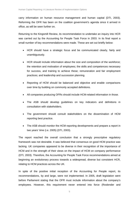carry information on human resource management and human capital (DTI, 2003). Reforming the OFR has been on the coalition government's agenda since it arrived in office, as will be seen further on.

Returning to the Kingsmill Review, its recommendation to undertake an inquiry into HCR was carried out by the Accounting for People Task Force in 2003. In its final report a small number of key recommendations were made. These are set out briefly below:

- HCR should have a strategic focus and be communicated clearly, fairly and unambiguously.
- HCR should include information about the size and composition of the workforce; the retention and motivation of employees; the skills and competences necessary for success, and training to achieve these; remuneration and fair employment practices; and leadership and succession planning.
- Reporting of HCM should be balanced and objective and enable comparisons over time by building on commonly accepted definitions.
- All companies producing OFRs should include HCM-related information in those.
- The ASB should develop guidelines on key indicators and definitions in consultation with stakeholders.
- The government should consult stakeholders on the dissemination of HCM reporting best practice.
- The ASB should monitor the HCM reporting developments and prepare a report in two years' time (i.e. 2005) (DTI, 2003).

The report reached the overall conclusion that a strongly prescriptive regulatory framework was not desirable. It was believed that consensus on good HCM practice was lacking. UK companies appeared to be diverse in their recognition of the importance of HCM and in the strength of their views on the impact of HCM on company performance (DTI, 2003). Therefore, the Accounting for People Task Force recommendations aimed at beginning an evolutionary process towards a widespread, diverse but consistent HCR, relating to HCM practices across the UK.

In spite of the positive initial reception of the Accounting for People report, its recommendations, by and large, were not implemented. In 2005, draft legislation went before Parliament stating that the OFR must include information about the company's employees. However, this requirement never entered into force (Roslender and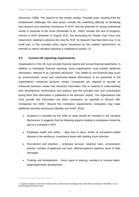Stevenson, 2009). The reasons for this remain unclear. Possible ones, resulting from the fundamental challenges this area poses, include the underlying difficulty of identifying best practice and imposing consistency in HCR, and the potential for strong institutional inertia in response to the move (Roslender *et al*., 2004). Despite this lack of progress, interest in HCR remained. In August 2010, the Accounting for People Task Force was relaunched, seeking to advance the case for HCR. Its relaunch may have been due, in no small part, to the renewed policy vigour introduced by the coalition government. Its intention to reform narrative reporting is explained in section 2.5.

#### **2.3 Current UK reporting requirements**

Organisations in the UK must provide financial reports and annual financial statements. In addition to mandatory financial reporting, some organisations must provide additional information, referred to as 'narrative disclosure'. This relates to non-financial data (such as environmental, social and community-related information) to be presented in the organisation's enhanced business review. Companies are required to provide an enhanced business review that discloses information that is material to understanding their development, performance and position, and the principal risks and uncertainties facing them (this information is published in the directors' report). The organisations that must provide this information are listed companies, as specified in Section 385, Companies Act [2](#page-14-0)006. $^2$  Beyond the mandatory requirements, companies may make additional voluntary disclosures (Beattie and Smith, 2010).

- Guidance is provided by the ASB on what should be included in the narrative disclosures. It suggests that the following aspects relating to employees should be part of a company's OFR:
- Employee health and safety days lost to injury, levels of occupation-related disease in the workforce, compliance levels with working hours directive.
- Recruitment and retention employee turnover, retention rates, remuneration policies, number of applicants per post, offer/acceptance statistics, level of skills shortages.
- Training and development hours spent in training, numbers of courses taken, leadership/career development.

<span id="page-14-0"></span> $2$  A quoted company is one that is listed on the London Stock Exchange, New York Stock Exchange or NASDAQ, or is in the European Economic Area.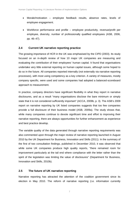- Morale/motivation employee feedback results, absence rates, levels of employee engagement.
- Workforce performance and profile employee productivity, revenue/profit per employee, diversity, number of professionally qualified employees (ASB, 2006, pp. 46–47).

#### **2.4 Current UK narrative reporting practice**

The growing importance of HCR in the UK was emphasised by the CIPD (2003). Its study focused on an in-depth review of how 10 major UK companies are measuring and evaluating the contribution of their employees' human capital. It found that organisations undertake very little external reporting on human capital issues, although some hoped to do so in the future. All companies reported internally (not externally via narrative reporting processes), with most using competency as a key criterion. A variety of measures, mostly company specific, were used and some companies had adopted a balanced-scoreboard approach to measurement.

In practice, company directors have significant flexibility in what they report in narrative disclosures, and as a result "many organisations disclose the bare minimum or simply state that it is not considered sufficiently important" (ACCA, 2009b, p. 3). The ASB's 2009 report on narrative reporting by UK listed companies suggests that too few companies provide a full disclosure of their business model (ASB, 2009a). The study shows that, while many companies continue to devote significant time and effort to improving their narrative reporting, there are always opportunities for further enhancement as experience and best practice develop.

The variable quality of the data generated through narrative reporting requirements was also commented upon through the major review of narrative reporting launched in August 2010 by the UK Department for Business, Innovation and Skills (2011). In the summary of the first of two consultation findings, published in December 2010, it was observed that while some UK companies produce high quality reports, "there remained room for improvement particularly at the tail end where compliance with the letter rather than the spirit of the legislation was limiting the value of disclosures" (Department for Business, Innovation and Skills, 2010b).

#### **2.5 The future of UK narrative reporting**

Narrative reporting has attracted the attention of the coalition government since its election in May 2010. The reform of narrative reporting (i.e. information currently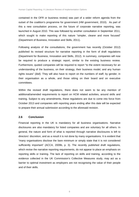contained in the OFR or business review) was part of a wider reform agenda from the outset of the coalition's programme for government (HM government, 2010). As part of this a new consultation process, on the future of corporate narrative reporting, was launched in August 2010. This was followed by another consultation in September 2011, which sought to make reporting of this nature "simpler, clearer and more focused" (Department of Business, Innovation and Skills, 2011).

Following analysis of the consultations, the government has recently (October 2012) published its revised structure for narrative reporting in the form of draft regulations (Department for Business, Innovation and Skills, 2012). In summary, companies will now be required to produce a strategic report, similar to the existing business review. Furthermore, quoted companies will be required to report "to the extent necessary for an understanding of the business, on their strategy, their business model, and any human rights issues" (*ibid*). They will also have to report on the numbers of staff, by gender, in their organisation as a whole, and those sitting on their board and on executive committees.

Within the revised draft regulations, there does not seem to be any mention of additional/amended requirements to report on HCM related activities, around skills and training. Subject to any amendments, these regulations are due to come into force from October 2013 and companies with reporting years ending after this date will be expected to prepare their annual submission according to the aforesaid revision.

#### **2.6 Conclusion**

Financial reporting in the UK is mandatory for all business organisations. Narrative disclosures are also mandatory for listed companies and are voluntary for all others. In general, the nature and form of what is reported through narrative disclosures is left to directors' discretion, and as a result it is not done by many organisations. It is evident that "many organisations disclose the bare minimum or simply state that it is not considered sufficiently important" (ACCA, 2009b, p. 3). The recently published draft regulations, which revise the narrative reporting requirements, do not appear to place an emphasis on reporting skills or training. The lack of reporting on skills and training, according to the evidence collected in the UK Commission's Collective Measures study, may act as a barrier to optimal investment as employers are not recognising the value of their people and of their skills.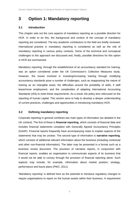### **3 Option 1: Mandatory reporting**

#### **3.1 Introduction**

This chapter sets out the core aspects of mandatory reporting as a possible direction for HCR. In order to do this, the background and context of the concept of mandatory reporting are considered. The key academic contributors to the field are briefly reviewed. International practice in mandatory reporting is considered as well as the role of mandatory reporting in various policy contexts. Some of the technical and conceptual challenges to this approach are discussed and, finally, possible directions for this option in HCR are summarised.

Mandatory reporting, through the establishment of an accountancy standard for training, was an option considered under the UK Commission's Collective Measures study. However, the issues involved in investing/increasing training through modifying accountancy standards pose a number of challenges, such as reappraising the nature of training as an intangible asset, the difficulties around the portability of skills, if staff leave/move employment, and the complexities of adapting International Accounting Standards (IAS) to meet these requirements. As a result, the policy lens refocused on the reporting of human capital. This section aims to help to develop a deeper understanding of current practices, challenges and opportunities in introducing mandatory HCR.

#### **3.2 Defining mandatory reporting**

Corporate reporting in general combines two main types of information (as detailed in the UK context). The first of these is **financial reporting**, which consists of financial data and includes financial statements compliant with Generally Agreed Accountancy Principles (GAAP). Financial reports frequently have accompanying notes to explain aspects of the statements that may be unclear. The second type of information is **narrative reporting**, which consists of additional relevant information about the business (including contextual and other non-financial information). The latter may be presented in a format such as a business review document. The provision of narrative reports, in conjunction with financial reports, enables an organisation to communicate aspects of its business that it would not be able to convey through the provision of financial reporting alone. Such aspects may include, for example, information about market position, strategy, performance and future plans (PWC, 2011).

'Mandatory reporting' is defined here as the potential to introduce regulatory changes to require organisations to report on the human assets within their business. A requirement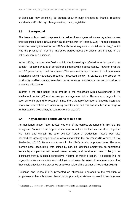of disclosure may potentially be brought about through changes to financial reporting standards and/or through changes to the primary legislation.

#### **3.3 Background**

The issue of how best to represent the value of employees within an organisation was first recognised in the 1920s and initiated by the work of Paton (1922). The topic began to attract increasing interest in the 1960s with the emergence of social accounting,<sup>[3](#page-18-0)</sup> which was the practice of informing interested parties about the effects and impacts of the actions taken by a business.

In the 1970s, the specialist field – which was increasingly referred to as 'accounting for people' – became an area of considerable interest within accountancy. However, over the next 20 years the topic fell from favour. This was mainly due to some of the fundamental challenges facing mandatory reporting (discussed below). In particular, the problem of producing credible financial valuations for accounting practitioners was considered to be a very significant one.

Interest in the area began to re-emerge in the mid-1990s with developments in the intellectual capital (IC) and knowledge management fields. These areas began to be seen as fertile ground for research. Since then, the topic has been of ongoing interest to academic researchers and accounting practitioners, and this has resulted in a range of further studies (Roslender, 2010a; Roslender, 2010b).

#### **3.4 Key academic contributions to this field**

As mentioned above, Paton (1922) was one of the earliest proponents in this field. He recognised 'labour' as an important element to include on the balance sheet, together with 'land' and 'capital', the other two key factors of production. Paton's work also affirmed the growing importance of accounting within the enterprise (Roslender, 2010a; Roslender, 2010b). Hermanson's work in the 1960s is also important here. The term 'human asset accounting' was coined by him. He identified employees as operational assets by comparison with actual owned assets, and considered them to be just as significant from a business perspective in terms of wealth creation. To support this, he argued for a robust valuation methodology to calculate the value of human assets so that they could effectively be presented as a clear value of the business (Roslender 2010a).

Hekimian and Jones (1967) presented an alternative approach to the valuation of employees within a business, based on opportunity costs (as opposed to replacement

<span id="page-18-0"></span> $3$  Typical social accounting types of reporting included environmental accounting and CSR reporting.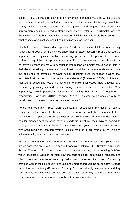costs). This value would be estimated by how much managers would be willing to bid to retain a specific employee. A further contributor to the debate at this stage was Likert (1967). Likert mapped patterns of management and argued that productivity improvements could be linked to strong management systems. This ultimately affected the valuation of the business. Likert aimed to highlight how this could be changed and what aspects organisations should be particularly concerned about.

Flamholtz, quoted by Roslender, argued in 1974 that valuation of labour was not only about putting people on the balance sheet (human asset accounting) and stressed the importance of employees within accounting processes. He proposed a broader understanding of this concept and argued that "human resource accounting should focus on providing management with accounting information on employees to assist them in their decision-making, planning and control tasks" and that "accountants should embrace the challenge of providing relevant human resource cost information beyond that associated with labour costs in the income statement" (Roslender, 2010a). In this way, managerial accounting would be designed to make businesses more effective and efficient by providing methods of measuring human resource cost and value. Most importantly, it would potentially offer a way of thinking about the role of people in the organisation (Roslender, 2010b; Roslender, 2010a). This work was associated with the development of the term 'human resource accounting'.

Peters and Waterman (1982) were significant in popularising the notion of putting employees at the centre of a business. They are attributed with the development of the declaration "Our people are our greatest asset". While their work is embedded more in popular management literature than in academic literature, their thinking served to highlight the fundamental problem of how to value employees. They were not concerned with accounting and reporting matters, but did mobilise much interest in the role and value of employees in a successful business.

The latest contributors, since 2000, to the accounting for human resources (HR) debate are an academic group at the Personnel Economics Institute (PEI), Stockholm Business School. The focus of this group is on human resource costing and accounting (HRCA), which specifically aims to develop new methodologies for determining valuation and which proposes alternative counting (valuation) processes. This was informed by previous work in the field of utility analysis and emerged through the psychology literature rather than accountancy (Roslender, 2010a, p. 5). This is directly relevant for mandatory accountancy practices because measures of valuation of employees must be universally agreed amongst those who would be obliged to provide reporting data.

11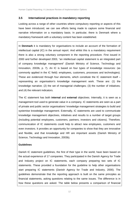#### **3.5 International practices in mandatory reporting**

Looking across a range of other countries where compulsory reporting or aspects of this have been introduced, we can see efforts being made to capture some financial and narrative information on a mandatory basis. In particular, there is Denmark where a mandatory framework with a voluntary content has been established.

In **Denmark** it is mandatory for organisations to include an account of the formation of intellectual capital (IC) in the annual report. And whilst this is a mandatory requirement there is also a strong voluntary component in the reporting procedure. First issued in 2000 and further developed 2003, "an intellectual capital statement is an integrated part of company knowledge management" (Danish Ministry of Science, Technology and Innovation, 2003b, p. 7). An IC is based on four types of knowledge resources: (as commonly applied in the IC field): employees, customers, processes and technologies). These are evidenced through four elements, which constitute the IC statement itself – representing an organisation's knowledge management work. These are: (1) the knowledge narrative; (2) the set of managerial challenges; (3) the number of initiatives; and (4) the relevant indicators.

The IC statement has both **internal** and **external** objectives. Internally, it is seen as a management tool used to generate value in a company. IC statements are seen as a part of private and public sector organisations' knowledge management strategies to build and systemise knowledge management. Externally, IC statements are used to communicate knowledge management objectives, initiatives and results to a number of target groups (including potential employees, customers, partners, investors and citizens). Therefore, communication of IC statements could help to attract new employees, customers and even investors. It provides an opportunity for companies to show that they are innovative and flexible, and that knowledge and HR are important assets (Danish Ministry of Science, Technology and Innovation, 2003b).

#### **Guidelines**

Danish IC statement guidelines, the first of their type in the world, have been based on the actual experience of 17 companies. They participated in the Danish Agency for Trade and Industry project on IC statements, each company preparing two sets of IC statements. These provided a foundation for the guideline to help other organisations start preparing IC statements (Danish Agency for Trade and Industry, 2000). The guidelines demonstrate that the reporting approach is built on the same principles as financial statements, asking questions relating to the same issues. The difference is in how these questions are asked. The table below presents a comparison of financial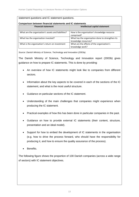#### statement questions and IC statement questions.

#### **Comparison between financial statements and IC statements**

| <b>Financial statement</b>                          | Intellectual capital statement                                           |
|-----------------------------------------------------|--------------------------------------------------------------------------|
| What are the organisation's assets and liabilities? | How is the organisation's knowledge resource<br>comprised?               |
| What has the organisation invested?                 | What has the organisation done to strengthen its<br>knowledge resources? |
| What is the organisation's return on investment     | What are the effects of the organisation's<br>knowledge work?            |

*Source: Danish Ministry of Science, Technology and Innovation (2003a).* 

The Danish Ministry of Science, Technology and Innovation report (2003b) gives guidance on how to prepare IC statements. This is done by providing:

- An overview of how IC statements might look like to companies from different sectors.
- Information about the key aspects to be covered in each of the sections of the IC statement, and what is the most useful structure.
- Guidance on particular sections of the IC statement.
- Understanding of the main challenges that companies might experience when producing the IC statement.
- Practical examples of how this has been done in particular companies in the past.
- Guidance on how to provide external IC statements (their content, structure, presentation and an ideal model).
- Support for how to embed the development of IC statements in the organisation (e.g. how to drive the process forward, who should have the responsibility for producing it, and how to ensure the quality assurance of the process).
- Benefits.

The following figure shows the proportion of 100 Danish companies (across a wide range of sectors) with IC statement objectives.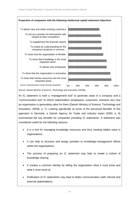

*Source: Danish Ministry of Science, Technology and Innovation (2003b).*

An IC statement is both a "management tool" to generate value in a company and a "communication tool" to inform stakeholders (employees, customers, investors etc) how an organisation is generating value for them (Danish Ministry of Science, Technology and Innovation, 2003b, p. 7). Looking specifically at some of the perceived benefits of this approach in Denmark, a Danish Agency for Trade and Industry report (2000, p. 8) summarised the key benefits for companies providing IC statements. A statement was considered useful for the following reasons:

- It is a tool for managing knowledge resources and thus creating added value in organisations.
- It can help to structure and assign priorities to knowledge-management efforts within the organisations.
- The process of preparing an IC statement may help to create a culture of knowledge sharing.
- It creates a common identity by telling the organisation what it must know and what it must excel at.
- Publication of IC statements may lead to better communication (with internal and external stakeholders).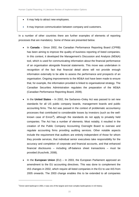- It may help to attract new employees.
- It may improve communication between company and customers.

In a number of other countries there are further examples of elements of reporting processes that are mandatory. Some of these are presented below.

- In **Canada** Since 2002, the Canadian Performance Reporting Board (CPRB) has been aiming to improve the quality of business reporting of listed companies. In this context, it developed the Management's Discussion and Analysis (MD&A) tool, which is used for communicating information about the financial performance of an organisation alongside financial statements. This move was undertaken in recognition of the fact that financial detail alone will not provide enough information externally to be able to assess the performance and prospects of an organisation. Ongoing improvements to the MD&A tool have been made to ensure that, for example, the information provided is linked to organisational strategy. The Canadian Securities Administration regulates the preparation of the MD&A (Canadian Performance Reporting Board, 2009).
- In the **United States** In 2002, the Sarbanes–Oxley Act was passed to set new standards for all US public company boards, management boards and public accounting firms. The Act was passed in the context of problematic accountancy processes that contributed to considerable losses by investors (such as the wellknown case of Enron**[4](#page-23-0)** ), although the standards do not apply to privately held companies. The Act has a number of elements. Most notably, it resulted in the creation of the Public Company Accounting Oversight Board to oversee and regulate accounting firms providing auditing services. Other notable aspects include the requirement that auditors are entirely independent of those for whom they provide services, that individual senior executives take responsibility for the accuracy and completion of corporate and financial accounts, and that enhanced financial disclosures – including off-balance sheet transactions – must be provided (Kuschnik, 2008).
- In the **European Union** (EU) In 2003, the European Parliament approved an amendment to the EU accounting directives. This was done to complement the IAS changes in 2002, which require all listed companies in the EU to use IAS from 2005 onwards. The 2003 change enables this to be extended to all companies

<span id="page-23-0"></span><sup>4</sup> Enron went bankrupt in 2001; it was one of the largest and most complex bankruptcies in US history.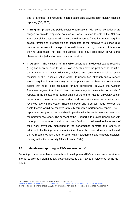and is intended to encourage a large-scale shift towards high quality financial reporting (EC, 2003).

- In **Belgium**, private and public sector organisations (with some exceptions) are obliged to provide employee data on a 'Social Balance Sheet' to the National Bank of Belgium, together with their annual accounts.<sup>[5](#page-24-0)</sup> The information required covers formal and informal training conducted at the employer's expense (e.g. number of workers in receipt of formal/informal training; number of hours of training undertaken, net cost to business) plus a full breakdown of workforce characteristics (education level, occupation etc.).
- In **Austria** The valuation of intangible assets and intellectual capital reporting (ICR) has been an issue for discussion in Austria over the past decade. In 2001, the Austrian Ministry for Education, Science and Culture undertook a review focusing on the higher education sector. In universities, although annual reports are not required in the same way as in the private sector, there are nevertheless assets that need to be accounted for and considered. In 2002, the Austrian Parliament agreed that it would become mandatory for universities to publish IC reports. In the context of a reorganisation of the entire Austrian university sector, performance contracts between funders and universities were to be set up and reviewed every three years. These contracts and progress made towards the goals therein would be reported annually through a performance report. The IC report was designed to be published in parallel with the performance contract and the performance report. The concept of the IC report is to provide universities with the opportunity to report on all of their work (and not to be limited to the aspects of their work previously mentioned in the performance contract and report). In addition to facilitating the communication of what has been done and achieved, the IC report provides a tool to assist with management and strategic decisionmaking within the university (Heinz Leitner, 2002).

#### **3.6 Mandatory reporting in R&D environments[6](#page-24-1)**

Reporting processes within a research and development (R&D) context were considered in order to provide insight into any potential lessons that may be of relevance for the HCR debate.

<span id="page-24-0"></span><sup>5</sup> For further details see the National Bank of Belgium's guidance:

http://www.nbb.be/pub/03\_00\_00\_00\_00/03\_04\_00\_00/03\_04\_01\_00\_00/03\_04\_01\_08\_00.htm#1

<span id="page-24-1"></span><sup>&</sup>lt;sup>6</sup>Some of the core elements of this analysis are presented here and the full detail is presented in Appendix A.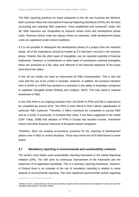The R&D reporting practices for listed companies in the UK and Australia are identical. Both countries follow the International Financial Reporting Standards (IFRS) IAS 38 when accounting and reporting R&D expenses. Once established and measured<sup>[7](#page-25-0)</sup> under IAS 38, R&D expenses are reclassified as research phase costs and development phase costs. Research phase costs are always shown as expenses, while development phase costs are capitalised under certain conditions.

If it is not possible to distinguish the development phase of a project from the research phase, all of the expenditure should be treated as if it had been incurred in the research phase. Patents, like the other types of intangibles, are not reported explicitly in financial statements. However, in combinations or other types of transactions involving intangibles these are assessed at a fair value and reflected in the financial statement of the buyer (and that of the seller).

In the UK tax credits are used as instruments for R&D incentivisation. This is also the case with the use of tax credits in Australia. However, in addition, the previous transition from A-GAAP to A-IFRS has resulted in a restriction in the ability of Australian companies to capitalise intangible assets (Ekberg and Lindgren, 2007). This may result in reduced investment in R&D.

In the USA there is an ongoing transition from US-GAAP to IFRS and this is expected to be completed by around 2014. The IFRS is more liberal in that it allows capitalisation of particular R&D expenses. Therefore, it offers incentives for companies to pursue R&D and as a result, if successful, to increase their value. It has been suggested in the media (USA Today, 2008) that adoption of IFRS in Europe has boosted income, investment returns and other financial measures of European-based companies.

Therefore, there are existing accountancy practices for the reporting of development phase costs in R&D in certain situations. These may inform the HCR alternatives to some extent.

#### **3.7 Mandatory reporting in environmental and sustainability contexts**

The world's most widely used sustainability reporting framework is the Global Reporting Initiative (GRI). The GRI aims at continuous improvement of the framework and the expansion of its application worldwide. This is a voluntary reporting framework. However, in Finland there is an example of the use of mandatory reporting in relation to some aspects of environmental reporting. The most significant governmental activity regarding

<span id="page-25-0"></span><sup>&</sup>lt;sup>7</sup>Unlike in the US, measurement in the UK and Australia is based on the cost model or the revaluation model, but only if the intangible asset trades in an active market.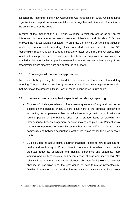sustainability reporting is the new Accounting Act introduced in 2005, which requires organisations to report on environmental aspects, together with financial information, in the annual report of the board.

In terms of the impact of this in Finland, evidence is relatively sparse so far on the difference this has made in real terms. However, Schadewitz and Niskala (2010) have analysed the market valuation of listed Finnish firms. Combining a conventional valuation model with responsibility reporting, they concluded that communication via GRI responsibility reporting is an important explanatory factor for a firm's market value. They found that this approach improved communication between companies and investors as it enabled a clear mechanism to provide relevant information and an understanding of how organisations were different from one another in this regard.

#### **3.8 Challenges of mandatory approaches**

Two main challenges may be identified to the development and use of mandatory reporting. These challenges involve (i) conceptual and (ii) technical aspects of reporting that may make the process difficult. Each of these is considered in turn below.

#### **3.9 Issues around conceptual aspects of mandatory reporting**

- This set of challenges relates to fundamental questions of why and how to put people on the balance sheet. A core issue here is the principal objective of accounting for employees within the valuations of organisations: is it just about "putting people on the balance sheet" or a broader issue of providing HR information for better management, decision-making and planning? Perceptions of the relative importance of particular approaches are not uniform in the academic community and between accounting practitioners, which makes this a contentious matter.
- Building upon the above point, a further challenge relates to how to account for health and well-being in IC and how to compare it to other human capital attributes (such as education and training, experience and expertise, team working, and ability to innovate and accommodate change and uncertainty). Also relevant here is how to account for sickness absence (and prolonged sickness absence in particular) and the emergence of new forms of presenteeism. **[8](#page-26-0)** Detailed information about the duration and cause of absence may be a useful

<span id="page-26-0"></span><sup>&</sup>lt;sup>8</sup> Presenteeism refers to the increasing number of people continuing to attend work while medically unfit.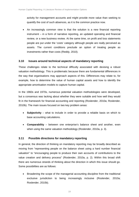activity for management accounts and might provide more value than seeking to quantify the cost of such absences, as it is the common practice now.

• An increasingly common view is that the solution is a new financial reporting instrument – in a form of narrative reporting, an updated operating and financial review, or a new business review. At the same time, on profit and loss statements people are put under the 'costs' category although people are really perceived as assets. The current conditions preclude an option of treating people as investments rather than costs (Reddy, 2010).

#### **3.10 Issues around technical aspects of mandatory reporting**

These challenges relate to the technical difficulty associated with devising a robust valuation methodology. This is problematic because there are fundamental differences in the way that organisations may approach aspects of this. Differences may relate to, for example, how to determine the value of human capital assets and how to identify the appropriate amortisation models to capture human capital.

In the 1960s and 1970s, numerous potential valuation methodologies were developed, but a consensus was lacking about whether they were suitable and how well they would fit in the framework for financial accounting and reporting (Roslender, 2010a; Roslender, 2010b). The main issues focused on two key problem areas:

- **Subjectivity** what to include in order to provide a reliable basis on which to base accounting calculations.
- **Comparability** between one enterprise's balance sheet and another, even when using the same valuation methodology (Roslender, 2010a, p. 3).

#### **3.11 Possible directions for mandatory reporting**

In general, the direction of thinking on mandatory reporting may be broadly described as moving from "representing people on the balance sheet using a hard number financial valuation" to "encouraging people to produce their own accounts of contributions to the value creation and delivery process" (Roslender, 2010a, p. 2). Within this broad shift there are numerous strands of thinking about the direction in which this issue should go. Some possibilities are as follows:

• Broadening the scope of the managerial accounting discipline from the traditional exclusive jurisdiction to being increasingly inclusive (Roslender, 2010a; Roslender, 2010b).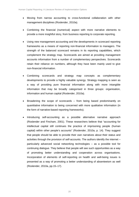- Moving from narrow accounting to cross-functional collaboration with other management disciplines (Roslender, 2010a).
- Combining the financial (numerical) aspect with more narrative elements to provide a more insightful story, from business reporting to corporate reporting.
- Using new management accounting and the developments in scorecard reporting frameworks as a means of reporting non-financial information to managers. The strength of the balanced scorecard remains in its reporting capabilities, which complement the strategy map. Scorecards are aimed at providing management accounts information from a number of complementary perspectives. Scorecards retain their reliance on numbers, although they have been mainly used to give non-financial information.
- Combining scorecards and strategy map concepts as complementary developments to provide a highly valuable synergy. Strategy mapping is seen as a way of providing pure financial information along with more intangible information that may be broadly categorised in three groups: organisation, information and human capital (Roslender, 2010a).
- Broadening the scope of scorecards from being based predominantly on quantitative information to being concerned with more qualitative information (in the form of narrative-based reporting frameworks).
- Introducing self-accounting as a possible alternative narrative approach (Roslender and Fincham, 2001). These researchers believe that "accounting for intellectual capital still continues the practice of imprisoning people (human capital) within other people's accounts" (Roslender, 2010a, p. 14). They suggest that people should be able to provide their own narratives about their status and activities through the provision of self-accounts. The authors identify the internet – particularly advanced social networking technologies – as a possible tool for continuing dialogue. They believe that people will see such opportunities as a way of promoting better understanding and cooperation across organisations. Incorporation of elements of self-reporting on health and well-being issues is presented as a way of promoting a better understanding of absenteeism as well (Roslender, 2010a, pp.15–17).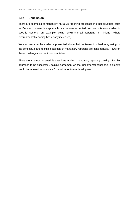#### **3.12 Conclusion**

There are examples of mandatory narrative reporting processes in other countries, such as Denmark, where this approach has become accepted practice. It is also evident in specific sectors, an example being environmental reporting in Finland (where environmental reporting has clearly increased).

We can see from the evidence presented above that the issues involved in agreeing on the conceptual and technical aspects of mandatory reporting are considerable. However, these challenges are not insurmountable.

There are a number of possible directions in which mandatory reporting could go. For this approach to be successful, gaining agreement on the fundamental conceptual elements would be required to provide a foundation for future development.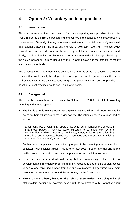### **4 Option 2: Voluntary code of practice**

#### **4.1 Introduction**

This chapter sets out the core aspects of voluntary reporting as a possible direction for HCR. In order to do this, the background and context of the concept of voluntary reporting are examined. Secondly, the key academic contributors to the field are briefly reviewed. International practice in the area and the role of voluntary reporting in various policy contexts are considered. Some of the challenges of this approach are discussed and, finally, possible directions for this option of HCR are summarised. This again builds upon the previous work on HCR carried out by the UK Commission and the potential to modify accountancy standards.

The concept of voluntary reporting is defined here in terms of the introduction of a code of practice that would initially be adopted by a large proportion of organisations in the public and private sectors. As a consequence of growing participation in a code of practice, the adoption of best practices would occur on a large scale.

#### **4.2 Background**

There are three main theories put forward by Guthrie *et al*. (2007) that relate to voluntary reporting and annual reports:

• The first is a **legitimacy theory** that organisations should and will report voluntarily, owing to their obligations to the larger society. The rationale for this is described as follows:

a company would voluntarily report on its activities if management perceived that these particular activities were expected to be undertaken by the communities in which it operated. Legitimacy theory relies on the notion that there is a 'social contract' between the company and the society in which it operates. (Guthrie *et al*., 2007, p. 36)

Furthermore, companies must continually appear to be operating in a manner that is consistent with societal values. This is often achieved through informal and formal methods of communication, such as company reports in the latter instance.

- Secondly, there is the **institutional theory** that firms may anticipate the direction of developments in mandatory reporting and may respond ahead of time to gain access to capital and continued support from the financial markets. Larger firms have more resources to take the initiative and therefore may be the forerunners.
- Thirdly, there is a **theory based on the rights of stakeholders**. According to this, all stakeholders, particularly investors, have a right to be provided with information about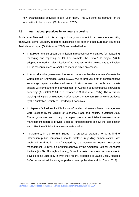how organisational activities impact upon them. This will generate demand for the information to be provided (Guthrie *et al*., 2007).

#### **4.3 International practices in voluntary reporting**

Aside from Denmark, with its strong voluntary component in a mandatory reporting framework. some voluntary reporting guidelines also exist in other European countries, Australia and Japan (Guthrie *et al,* 2007), as detailed below.

- In **Europe** the European Commission introduced some initiatives for measuring, managing and reporting on IC. For example, the RICARDIS project (2006) adopted the Meritum classification of IC. The aim of the project was to stimulate ICR in research intensive small and medium-sized enterprises.
- In **Australia** the government has set up the Australian Government Consultative Committee on Knowledge Capital (AGCCKC) to 'produce a set of comprehensive knowledge capital standards whose application across the public and private sectors will contribute to the development of Australia as a competitive knowledge economy' (AGCCKC, 2004, p. 2, reported in Guthrie *et al.*, 2007). The Australian Guiding Principles on Extended Performance Management (EPM) were produced by the Australian Society of Knowledge Economics.
- In **Japan** Guidelines for Disclosure of Intellectual Assets Based Management were released by the Ministry of Economy, Trade and Industry in October 2005. These guidelines are to help managers produce an intellectual-assets-based management report to provide a deeper understanding of how the combination and utilisation of intellectual assets creates value.
- Furthermore, in the **United States** a proposed standard for what kind of information public companies should disclose, regarding human capital, was published in draft in 2012.<sup>[9](#page-31-0)</sup> Drafted by the Society for Human Resources Management (SHRM), it is awaiting approval by the American National Standards Institute (ANSI). Although voluntary, "it could create pressures on companies to develop some uniformity in what they report", according to Laurie Bassi, McBassi & Co., who chaired the workgroup which drew up the standard (McCann, 2012).

<span id="page-31-0"></span> $9$  The second Public Review Draft Version was published on  $5<sup>th</sup>$  October 2012 and is available here: [http://hrstandardsworkspace.shrm.org/apps/group\\_public/document.php?document\\_id=6684](http://hrstandardsworkspace.shrm.org/apps/group_public/document.php?document_id=6684)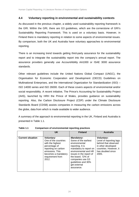#### **4.4 Voluntary reporting in environmental and sustainability contexts**

As discussed in the previous chapter, a widely used sustainability reporting framework is the GRI. Within the GRI, there are G3 guidelines, which are the cornerstone of GRI's Sustainability Reporting Framework. This is used on a voluntary basis. However, in Finland there is mandatory reporting in relation to some aspects of environmental issues. By comparison, both the UK and Australia have voluntary approaches to environmental reporting.

There is an increasing trend towards getting third-party assurance for the sustainability report and to integrate the sustainability report into the company's annual report. The assurance providers generally use AccountAbility AA1000 or ISAE 3000 assurance standards.

Other relevant guidelines include the United Nations Global Compact (UNGC), the Organisation for Economic Cooperation and Development (OECD) Guidelines on Multinational Enterprises, and the International Organization for Standardization (ISO) – ISO 14000 series and ISO 26000. Each of these covers aspects of environmental and/or social responsibility. A recent initiative, The Prince's Accounting for Sustainability Project (A4S), launched by HRH the Prince of Wales, provides guidance on sustainability reporting. Also, the Carbon Disclosure Project (CDP) under the Climate Disclosure Standards Board (CDSB) assists companies in measuring the carbon emissions across the globe, data from which is made available to wider audience.

A summary of the approach to environmental reporting in the UK, Finland and Australia is presented in Table 1.1.

|                          | <b>UK</b>                                                                                                                                                                    | <b>Finland</b>                                                                                                                                                                                                                                           | <b>Australia</b>                                                                                                                                   |
|--------------------------|------------------------------------------------------------------------------------------------------------------------------------------------------------------------------|----------------------------------------------------------------------------------------------------------------------------------------------------------------------------------------------------------------------------------------------------------|----------------------------------------------------------------------------------------------------------------------------------------------------|
| <b>Current situation</b> | <b>Voluntary:</b><br>One of the countries<br>with the highest<br>percentage of<br>reporting on carbon<br>emissions. This<br>becomes a mandatory<br>requirement from<br>2012. | <b>Mandatory:</b><br>Some of the earliest<br>environmental<br>reporting. It is<br>mandatory to report on<br>environmental and HR<br>issues in the report of<br>the board. 72% of<br>companies use G3<br>guidelines and 30%<br>get external<br>assurance. | <b>Voluntary:</b><br>Level of reporting lags<br>behind that observed<br>in other developed<br>countries. However, it<br>has doubled since<br>2005. |

**Table 1.1 Comparison of environmental reporting practices**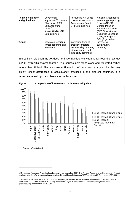| <b>Related legislation</b><br>and guidelines | Government<br>regulations <sup>10</sup> ; Climate<br>Change Act 2008;<br>Guidance from<br>Defra $^{11}$ ,<br>AccountAbility; GRI<br>G3 guidelines. | Accounting Act 2005;<br><b>Guidelines by National</b><br>Accountancy Board;<br>GRI G3 guidelines.                   | National Greenhouse<br>and Energy Reporting<br>System (NGER);<br>Carbon Pollution<br><b>Reduction Scheme</b><br>(CPRS); Australian<br>Securities Exchange<br>(ASX); Principle 7:<br>GRI g£ guidelines. |
|----------------------------------------------|----------------------------------------------------------------------------------------------------------------------------------------------------|---------------------------------------------------------------------------------------------------------------------|--------------------------------------------------------------------------------------------------------------------------------------------------------------------------------------------------------|
| <b>Trends</b>                                | Integrated reporting,<br>carbon reporting and<br>assurance.                                                                                        | Increasing trend of<br>broader corporate<br>responsibility reporting<br>with assurance and<br>third party comments. | Increasing<br>sustainability<br>reporting.                                                                                                                                                             |

Interestingly, although the UK does not have mandatory environmental reporting, a study in 2008 by KPMG showed that the UK produces more stand-alone and integrated carbon reports than Finland. This is shown in Figure 1.1. While it may be argued that this may simply reflect differences in accountancy practices in the different countries, it is nevertheless an important observation in this context.



**Figure 1.1 Comparison of international carbon reporting data**

*Source: KPMG (2008).*

<span id="page-33-0"></span><sup>10</sup> Connected Reporting- A practical guide with worked examples, 2007. The Prince's Accounting for Sustainability Project, Available from [http://www.accountingforsustainability.org/files/pdf/Connected%20Reporting.pdf], Accessed on 06/10/2011.

<span id="page-33-1"></span><sup>11</sup> Environmental Key Performance Indicators- Reporting Guidelines for UK Business, Department for Environment, Food and Rural Affairs, 2006, Available from: [\[http://archive.defra.gov.uk/environment/business/reporting/pdf/envkpi](http://archive.defra.gov.uk/environment/business/reporting/pdf/envkpi-guidelines.pdf)[guidelines.pdf\]](http://archive.defra.gov.uk/environment/business/reporting/pdf/envkpi-guidelines.pdf), Accessed on 06/10/2011.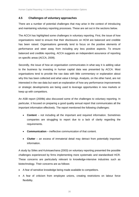#### **4.5 Challenges of voluntary approaches**

There are a number of potential challenges that may arise in the context of introducing and maintaining voluntary reporting processes. These are set out in the sections below.

The ACCA has highlighted some challenges in voluntary reporting. First, the issue of how organisations need to ensure that their disclosures on HCM are balanced and credible has been raised. Organisations generally tend to focus on the positive elements of performance and steer away from including any less positive aspects. To ensure balanced and credible reporting, ACCA suggests an independent assurance of reporting on specific areas (ACCA, 2009).

Secondly, the issue of how an organisation communicates in what way it is adding value to the business by investing in human capital data was presented by ACCA. Most organisations tend to provide the raw data with little commentary or explanation about why this has been collected and what value it brings. Analysts, on the other hand, are not interested in the raw data but want an explanation of how any performance improvements or strategic developments are being used to leverage opportunities in new markets or keep up with competitors.

An ASB report (2009b) also discussed some of the challenges to voluntary reporting. In particular, it focused on preparing a good quality annual report that communicates all the important information effectively. The report mentioned the following challenges:

- **Content** not including all the important and required information. Sometimes companies are struggling to report due to a lack of clarity regarding the requirements.
- **Communication** ineffective communication of that content.
- **Clutter** an excess of immaterial detail may detract from potentially important information.

A study by Stiles and Kulvisaechana (2003) on voluntary reporting presented the possible challenges experienced by firms implementing more systematic and standardised HCR. These concerns are particularly relevant to knowledge-intensive industries such as biotechnology. Their concerns are as follows:

- A fear of sensitive knowledge being made available to competitors.
- A fear of criticism from employee unions, creating restrictions on labour force flexibility.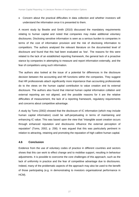• Concern about the practical difficulties in data collection and whether investors will understand the information once it is presented to them.

A recent study by Beattie and Smith (2010) discussed the mandatory requirements relating to human capital and noted that companies may make additional voluntary disclosures. Disclosing sensitive information is seen as a serious burden to companies in terms of the cost of information provision and the risk of disclosing information to competitors. The authors analysed the relevant literature on the documented level of disclosure and found that this had been evaluated as 'low'. The reasons for this were related to the lack of an established reporting framework, the general lack of a proactive stance by companies in attempting to measure and report information externally, and the fear of competitors using such information.

The authors also looked at the issue of a potential for differences in the disclosure decision between the accounting and HR functions within the companies. They suggest that HR professionals attach significantly more importance than accounting professionals do to the views on the human capital contribution to value creation and its external disclosure. The authors also found that internal human capital information collation and external reporting are not aligned, and the possible reasons for it are the relative difficulties of measurement, the lack of a reporting framework, regulatory requirements and concerns about competitive advantage.

A study by Toms (2002) showed that the disclosure of IC information (which may include human capital information) could be self-perpetuating in terms of maintaining and enhancing IC value. This was based upon the view that "intangible asset creation occurs through enhanced reputation and disclosures influence the external perception of reputation" (Toms, 2002, p. 258). It was argued that this was particularly pertinent in relation to attracting, retaining and promoting the reputation of high calibre human capital.

#### **4.6 Conclusion**

Evidence from the use of voluntary codes of practice in different countries and sectors shows that this can work to effect change and to mobilise support, resulting in behaviour adjustments. It is possible to overcome the core challenges of this approach, such as the lack of uniformity in practice and the fear of competitive advantage due to disclosures. Indeed, many of the problematic aspects of the approach may also be used to the benefit of those participating (e.g. in demonstrating to investors organisational performance in HCM).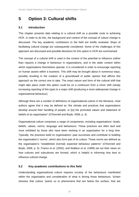### **5 Option 3: Cultural shifts**

#### **5.1 Introduction**

This chapter presents data relating to a cultural shift as a possible route to achieving HCR. In order to do this, the background and context of the concept of culture change is discussed. The key academic contributors to the field are briefly reviewed. Ways of facilitating cultural change are subsequently considered. Some of the challenges of this approach are discussed and possible directions for this option in HCR are summarised.

The concept of a cultural shift is used in the context of the potential to influence (rather than require) a change in behaviour in organisations, and in the wider context within which organisations themselves operate. It is considered in order to encourage reporting on human assets within a business. This shift may be brought about in numerous ways, possibly resulting in the creation of a groundswell of public opinion that affirms this approach as the correct one to take. The exact nature and form of the cultural shift that might take place under this option could be on a continuum from a minor shift (slowly increasing reporting of this type) to a major shift (producing a more widespread change in organisational behaviour).

Although there are a number of definitions of organisational culture in the literature, most authors agree that it may be defined as "the climate and practices that organisations develop around their handling of people, or [to] the promoted values and statement of beliefs of an organisation" (O'Donnell and Boyle, 2008, p. 4).

Organisational culture comprises a range of components, including organisations' rituals, beliefs, values, norms, language and behaviours. These practices are often tacit and most exhibited by those who have been working in an organisation for a long time. Typically, the practices build on organisations' past successes and contribute to building the organisation's 'norms', which also form part of its culture. Those norms are defined as the organisation's "established (normal) expected behaviour patterns" (O'Donnell and Boyle, 2008, p. 5). Franco *et al.* (2002), and Wallace *et al.* (1999) set out their views on how cultures and subcultures are formed, which is helpful in informing how best to influence cultural change.

#### **5.2 Key academic contributions to this field**

Understanding organisational culture requires scrutiny of the behaviours manifested within the organisation and consideration of what is driving those behaviours. Schein stresses that culture "points us to phenomena that are below the surface, that are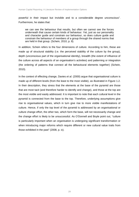powerful in their impact but invisible and to a considerable degree unconscious". Furthermore, he states that:

we can see the behaviour that results, but often we cannot see the forces underneath that cause certain kinds of behaviour. Yet, just as our personality and character guide and constrain our behaviour, so does culture guide and constrain the behaviour of members of a group through the shared norms that are held in that group. (Schein, 2010, p. 8).

In addition, Schein refers to the four dimensions of culture. According to him, these are made up of structural stability (i.e. the perceived stability of the culture by the group), depth (unconscious part of the organisational identity), breadth (the extent of influence of the culture across all aspects of an organisation's activities) and patterning or integration (the ordering of patterns that connect all the behavioural elements together) (Schein, 2010).

In the context of effecting change, Davies *et al.* (2000) argue that organisational culture is made up of different levels (from the least to the most visible), as illustrated in Figure 1.2. In their description, they stress that the elements at the base of the pyramid are those that are most tacit (and therefore harder to identify and change), and those at the top are the most visible and easily addressed. It is important to note that each cultural level in the pyramid is connected from the base to the top. Therefore, underlying assumptions give rise to organisational values, which in turn give rise to more visible manifestations of culture. Hence, if only the top level of the pyramid is addressed by an organisational or culture change effort, the other two, which form the base, will not necessarily change and the change effort is likely to be unsuccessful. As O'Donnell and Boyle point out, "culture is particularly important when an organisation is undergoing significant transformation or when introducing major reforms which require different or new cultural value traits from those exhibited in the past" (2008, p. ix).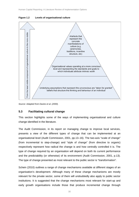

**Figure 1.2 Levels of organisational culture**

*Source: Adapted from Davies et al. (2000).*

#### **5.3 Facilitating cultural change**

This section highlights some of the ways of implementing organisational and culture change identified in the literature.

The Audit Commission, in its report on managing change to improve local services, presents a view of the different types of change that can be implemented at an organisational level (Audit Commission, 2001, pp.13–16). The two-axis "scale of change" (from incremental to step-change) and "style of change" (from directive to organic) respectively represent how radical the change is and how centrally controlled it is. The type of change required by an organisation will depend on both its current performance and the predictability (or otherwise) of its environment (Audit Commission, 2001, p.13). The type of change presented as most relevant to the public sector is "transformation".

Schein (2010) outlines a range of change mechanisms available at different stages of an organisation's development. Although many of these change mechanisms are mostly relevant for the private sector, some of them will undoubtedly also apply to public sector institutions. It is suggested that the change mechanisms most relevant for start-up and early growth organisations include those that produce incremental change through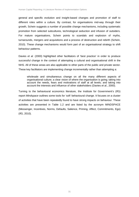general and specific evolution and insight-based changes and promotion of staff to different roles within a culture. By contrast, for organisations mid-way through their growth, Schein suggests a number of possible change mechanisms, including systematic promotion from selected subcultures, technological seduction and infusion of outsiders. For mature organisations, Schein points to scandals and explosion of myths, turnarounds, mergers and acquisitions and a process of destruction and rebirth (Schein, 2010). These change mechanisms would form part of an organisational strategy to shift behaviour patterns.

Davies *et al.* (2000) highlighted other facilitators of 'best practice' in order to produce successful change in the context of attempting a cultural and organisational shift in the NHS. All of these areas are also applicable to other parts of the public and private sector. These key facilitators are implementing change incrementally rather than attempting a:

wholesale and simultaneous change on all the many different aspects of organisational culture; a clear vision of where the organisation is going; taking into account the needs, fears and motivations of staff at all levels; and taking into account the interests and influence of other stakeholders (Davies *et al.*, 2000).

Turning to the behavioural economics literature, the Institute for Government's (IfG) report *Mindspace* outlines some tools for 'soft' behavioural change. It focuses on a cluster of activities that have been repeatedly found to have strong impacts on behaviour. These activities are presented in Table 1.2 and are listed by the acronym MINDSPACE (Messenger, Incentives, Norms, Defaults, Salience, Priming, Affect, Commitments, Ego) (IfG, 2010).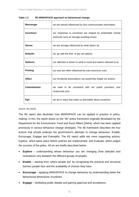| Messenger                                                    | we are heavily influenced by who communicates information                                                  |  |
|--------------------------------------------------------------|------------------------------------------------------------------------------------------------------------|--|
| <b>Incentives</b>                                            | our responses to incentives are shaped by predictable mental<br>shortcuts such as strongly avoiding losses |  |
| <b>Norms</b><br>we are strongly influenced by what others do |                                                                                                            |  |
| <b>Defaults</b>                                              | we 'go with the flow' of pre-set options                                                                   |  |
| <b>Salience</b>                                              | our attention is drawn to what is novel and seems relevant to us                                           |  |
| <b>Priming</b>                                               | our acts are often influenced by sub-conscious cues                                                        |  |
| <b>Affect</b>                                                | our emotional associations can powerfully shape our actions                                                |  |
| <b>Commitments</b>                                           | we seek to be consistent with our public promises, and<br>reciprocate acts                                 |  |
| Ego                                                          | we act in ways that make us feel better about ourselves                                                    |  |

**Table 1.2 IfG MINDSPACE approach to behavioural change** 

#### *Source: IfG (2010).*

The IfG report also illustrates how MINDSPACE can be applied in practice in policymaking. In this, the report draws on the "4E" policy framework originally developed by the Department for the Environment, Food and Rural Affairs (Defra), which has been applied previously in various behaviour change strategies. The 4E framework describes the four actions that should underpin the government's attempts to change behaviour: Enable, Encourage, Engage and Exemplify. The IfG report adds two more supporting actions: Explore, which takes place before policies are implemented; and Evaluate, which judges the success of the policy. All six are briefly described below:

- **Explore** understanding whose behaviour you are changing (how attitudes and motivations vary between the different groups of people).
- **Enable** starting from 'where people are' by recognising the practical and structural barriers people face and the availability of choices they have.
- **Encourage** applying MINDSPACE to change behaviour by understanding better the behavioural dimensions of policies.
- **Engage** facilitating public debate and gaining approval and acceptance.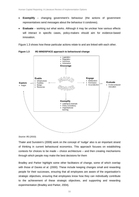- **Exemplify** changing government's behaviour (the actions of government representatives send messages about the behaviour it condones).
- **Evaluate** working out what works. Although it may be unclear how various effects will interact in specific cases, policy-makers should aim for evidence-based innovation.

Figure 1.3 shows how these particular actions relate to and are linked with each other.



**Figure 1.3 IfG MINDSPACE approach to behavioural change** 

*Source: IfG (2010).*

Thaler and Sunstein's (2008) work on the concept of 'nudge' also is an important strand of thinking in current behavioural economics. This approach focuses on establishing contexts for choices to be made – choice architecture – and then creating mechanisms through which people may make the best decisions for them

Bradley and Parker highlight some other facilitators of change, some of which overlap with those of Davies *et al.* (2000). These include keeping changes small and rewarding people for their successes, ensuring that all employees are aware of the organisation's strategic objectives, ensuring that employees know how they can individually contribute to the achievement of these strategic objectives, and supporting and rewarding experimentation (Bradley and Parker, 2004).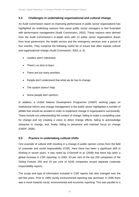#### **5.4 Challenges in undertaking organisational and cultural change**

An Audit Commission report on improving performance in public sector organisations has highlighted six underlying reasons that cause public sector managers to feel frustrated with performance management (Audit Commission, 2002). These reasons were derived from the Audit Commission's in-depth work with 12 public sector organisations drawn from local government, the health service and the emergency services over a period of four months. They comprise the following useful list of issues that often impede cultural and organisational change (Audit Commission, 2002, p. 4):

- Leaders aren't interested.
- There's no time to learn.
- There are too many priorities.
- People don't understand that what we do has to change.
- The system doesn't help.
- Some people don't perform.

In addition, a United Nations Development Programme (UNDP) working paper on institutional reform and change management in the public sector highlighted a number of pitfalls that should be avoided in order to implement change in organisations successfully. These include not understanding the context of change, failing to make a compelling case for change and not creating a vision to direct change efforts, failing to acknowledge obstacles to change, and, finally, failing to persevere and maintain focus on change (UNDP, 2006).

#### **5.5 Practice in undertaking cultural shifts**

One example of cultural shift resulting in a change in public opinion comes from the field of corporate and social responsibility (CSR). Here there has been a significant shift in thinking in recent years. It was noted by O'Donnell *et al.* (2009) that there has been a global increase in CSR reporting. In 2005, 53 per cent of the top 250 companies of the Global Fortune 250 and 33 per cent of N100 companies issued separate corporate responsibility reports.

The scope and type of information included in CSR reports has also changed over the last few years. Prior to 1999, purely environmental reporting was dominant. In 2005 there was a move towards social, environmental and economic reporting. This was parallel to a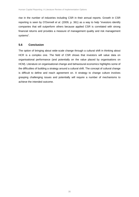rise in the number of industries including CSR in their annual reports. Growth in CSR reporting is seen by O'Donnell *et al.* (2009, p. 361) as a way to help "investors identify companies that will outperform others because applied CSR is correlated with strong financial returns and provides a measure of management quality and risk management systems".

#### **5.6 Conclusion**

The option of bringing about wide-scale change through a cultural shift in thinking about HCR is a complex one. The field of CSR shows that investors will value data on organisational performance (and potentially on the value placed by organisations on HCM). Literature on organisational change and behavioural economics highlights some of the difficulties of building a strategy around a cultural shift. The concept of cultural change is difficult to define and reach agreement on. A strategy to change culture involves grasping challenging issues and potentially will require a number of mechanisms to achieve the intended outcome.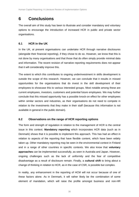### **6 Conclusions**

The overall aim of this study has been to illustrate and consider mandatory and voluntary options to encourage the introduction of increased HCR in public and private sector organisations.

#### **6.1 HCR in the UK**

In the UK, at present organisations can undertake HCR through narrative disclosures (alongside their financial reporting), if they chose to do so. However, we know that this is not done by many organisations and that those that do often simply provide minimal data and information. The recent revision of narrative reporting requirements does not appear that it will considerably improve this.

The extent to which this contributes to ongoing underinvestment in skills development is outside the scope of this research. However, we can conclude that it results in missed opportunities for the organisations that do invest in the skill development of their employees to showcase this to various interested groups. Most notable among these are current employees, investors, customers and potential future employees. We may further conclude that this missed opportunity has a possible knock-on effect for other employees within similar sectors and industries, as their organisations do not need to compete in relation to the investments that they make in their staff (because this information is not available in general in the public domain).

#### **6.2 Observations on the range of HCR reporting options**

The form and strength of regulation in relation to the management of HCR is the central issue in this context. **Mandatory reporting** which incorporates HCR data (such as in Denmark) shows that it is possible to implement this approach. This has had an effect in relation to aspects of the reporting that have flexible content, which have been widely taken up. Other mandatory reporting may be seen in the environmental context in Finland and in a range of other countries in specific contexts. We also know that **voluntary approaches** can be implemented successfully, as seen in Australia and Japan. However, ongoing challenges such as the lack of uniformity and the fear of competitive disadvantage as a result of disclosure remain. Finally, a **cultural shift** to bring about a change of thinking in relation to HCR, as in the case of CSR, is possible but complex.

In reality, any enhancement in the reporting of HCM will not occur because of one of these factors alone. As in Denmark, it will rather likely be the combination of some element of mandation, which will raise the profile amongst business and non-HR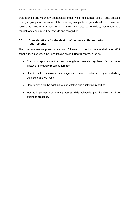professionals and voluntary approaches; those which encourage use of 'best practice' amongst groups or networks of businesses, alongside a groundswell of businesses seeking to present the best HCR to their investors, stakeholders, customers and competitors, encouraged by rewards and recognition.

#### **6.3 Considerations for the design of human capital reporting requirements**

This literature review poses a number of issues to consider in the design of HCR conditions, which would be useful to explore in further research, such as:

- The most appropriate form and strength of potential regulation (e.g. code of practice, mandatory reporting formats).
- How to build consensus for change and common understanding of underlying definitions and concepts.
- How to establish the right mix of quantitative and qualitative reporting.
- How to implement consistent practices while acknowledging the diversity of UK business practices.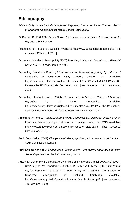### **Bibliography**

- ACCA (2009) *Human Capital Management Reporting*. Discussion Paper. The Association of Chartered Certified Accountants, London, June 2009.
- ACCA and CIPD (2009) *Human Capital Management. An Analysis of Disclosure in UK Reports.* CIPD, London.
- Accounting for People 2.0 website. Available: [http://www.accountingforpeople.org/.](http://www.accountingforpeople.org/) [last accessed 17th March 2011].
- Accounting Standards Board (ASB) (2006) *Reporting Statement: Operating and Financial Review*. ASB, London, January 2006.
- Accounting Standards Board (2009a) *Review of Narrative Reporting by UK Listed Companies in 2008/2009*. ASB, London, October 2009. Available: [http://www.frc.org.uk/images/uploaded/documents/Full%20results%20of%20a%20](http://www.frc.org.uk/images/uploaded/documents/Full%20results%20of%20a%20Review%20of%20narrative%20reporting1.pdf) [Review%20of%20narrative%20reporting1.pdf.](http://www.frc.org.uk/images/uploaded/documents/Full%20results%20of%20a%20Review%20of%20narrative%20reporting1.pdf) [last accessed 18th November 2010].
- Accounting Standards Board (2009b) *Rising to the Challenge, A Review of Narrative Reporting by UK Listed Companies*. Available: [http://www.frc.org.uk/images/uploaded/documents/Rising%20to%20the%20challen](http://www.frc.org.uk/images/uploaded/documents/Rising%20to%20the%20challenge%20October%202009.pdf) <u>[ge%20October%202009.pdf.](http://www.frc.org.uk/images/uploaded/documents/Rising%20to%20the%20challenge%20October%202009.pdf)</u> [last accessed 19th November 2010].
- Armstrong, M. and S. Huck (2010) *Behavioural Economics as Applied to Firms: A Primer*. Economic Discussion Paper. Office of Fair Trading, London, OFT1213. Available: [http://www.oft.gov.uk/shared\\_oft/economic\\_research/oft1213.pdf.](http://www.oft.gov.uk/shared_oft/economic_research/oft1213.pdf) [last accessed 21st January 2011].
- Audit Commission (2001) *Change Here! Managing Change to Improve Local Services*. Audit Commission, London.
- Audit Commission (2002) *Performance Breakthroughs – Improving Performance in Public Sector Organisations.* Audit Commission, London.
- Australian Government Consultative Committee on Knowledge Capital (AGCCKC) (2004*) Draft Project Plan*, reported in J. Guthrie, R. Petty and F. Ricceri (2007) *Intellectual Capital Reporting: Lessons from Hong Kong and Australia.* The Institute of Chartered Accountants of Scotland, Edinburgh. Available: [http://www.icas.org.uk/site/cms/download/res\\_Guthrie\\_Report.pdf](http://www.icas.org.uk/site/cms/download/res_Guthrie_Report.pdf) [last accessed 7th December 2010].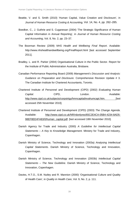- Beattie, V. and S. Smith (2010) 'Human Capital, Value Creation and Disclosure', in *Journal of Human Resource Costing & Accounting,* Vol. 14, No. 4, pp. 262–285.
- Boedker, C., J. Guthrie and S. Cuganesan (2004) 'The Strategic Significance of Human Capital Information in Annual Reporting', in *Journal of Human Resource Costing and Accounting*, Vol. 8, No. 2, pp. 23–37.
- The Boorman Review (2009) *NHS Health and Wellbeing Final Report*. Available: <http://www.nhshealthandwellbeing.org/FinalReport.html> [last accessed September 2011].
- Bradley, L. and R. Parker (2004) Organisational Culture in the Public Sector. Report for the Institute of Public Administration Australia, Brisbane.
- Canadian Performance Reporting Board (2009) *Management's Discussion and Analysis: Guidance on Preparation and Disclosure.* Comprehensive Revision Update # 3. The Canadian Institute for Chartered Accountants, Toronto.
- Chartered Institute of Personnel and Development (CIPD) (2002) *Evaluating Human*  **Capital.** CIPD, CIPD, CIPD, CONDON. Available: [http://www.cipd.co.uk/subjects/corpstrtgy/hmncapital/evahumcapt.htm.](http://www.cipd.co.uk/subjects/corpstrtgy/hmncapital/evahumcapt.htm) [last accessed 25th November 2010].
- Chartered Institute of Personnel and Development (CIPD) (2003) *The Change Agenda*. Available: [http://www.cipd.co.uk/NR/rdonlyres/65C2E4CA-05B4-4234-8AD5-](http://www.cipd.co.uk/NR/rdonlyres/65C2E4CA-05B4-4234-8AD5-98EF8EE4FA83/0/human_capital.pdf) [98EF8EE4FA83/0/human\\_capital.pdf.](http://www.cipd.co.uk/NR/rdonlyres/65C2E4CA-05B4-4234-8AD5-98EF8EE4FA83/0/human_capital.pdf) [last accessed 18th November 2010].
- Danish Agency for Trade and Industry (2000) *A Guideline for Intellectual Capital Statements – A Key to Knowledge Management*. Ministry for Trade and Industry, Copenhagen.
- Danish Ministry of Science, Technology and Innovation (2003a) *Analysing Intellectual Capital Statements*. Danish Ministry of Science, Technology and Innovation, Copenhagen.
- Danish Ministry of Science, Technology and Innovation (2003b) *Intellectual Capital Statements – The New Guideline*. Danish Ministry of Science, Technology and Innovation, Copenhagen.
- Davies, H.T.O., S.M. Nutley and R. Mannion (2000) 'Organisational Culture and Quality of Health Care', in *Quality in Health Care*, Vol. 9, No. 2, p. 111.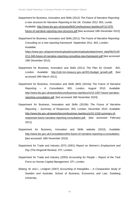Department for Business, Innovation and Skills (2012) *The Future of Narrative Reporting: a new structure for Narrative Reporting in the UK.* October 2012. BIS, Londo. Available: [http://www.bis.gov.uk/assets/BISCore/business-law/docs/F/12-979](http://www.bis.gov.uk/assets/BISCore/business-law/docs/F/12-979-future-of-narrative-reporting-new-structure.pdf) [future-of-narrative-reporting-new-structure.pdf](http://www.bis.gov.uk/assets/BISCore/business-law/docs/F/12-979-future-of-narrative-reporting-new-structure.pdf) [last accessed 18th December 2012].

Department for Business, Innovation and Skills (2011) *The Future of Narrative Reporting: Consulting on a new reporting framework*. September 2011. BIS, London. Available:

[https://www.gov.uk/government/uploads/system/uploads/attachment\\_data/file/3140](https://www.gov.uk/government/uploads/system/uploads/attachment_data/file/31402/11-945-future-of-narrative-reporting-consulting-new-framework.pdf) [2/11-945-future-of-narrative-reporting-consulting-new-framework.pdf](https://www.gov.uk/government/uploads/system/uploads/attachment_data/file/31402/11-945-future-of-narrative-reporting-consulting-new-framework.pdf) [last accessed 18th December 2012].

- Department for Business, Innovation and Skills (2011) *The Plan for Growth*. BIS, London. Available: [http://cdn.hm-treasury.gov.uk/2011budget\\_growth.pdf.](http://cdn.hm-treasury.gov.uk/2011budget_growth.pdf) [last accessed 29th March 2011].
- Department for Business, Innovation and Skills (BIS) (2010a) *The Future of Narrative Reporting – A Consultation*. BIS, London, August 2010. Available: [http://www.bis.gov.uk/assets/biscore/business-law/docs/n/10-1057-future-narrative](http://www.bis.gov.uk/assets/biscore/business-law/docs/n/10-1057-future-narrative-reporting-consultation.pdf)[reporting-consultation.pdf.](http://www.bis.gov.uk/assets/biscore/business-law/docs/n/10-1057-future-narrative-reporting-consultation.pdf) [last accessed 18th November 2010].
- Department for Business, Innovation and Skills (2010b) *The Future of Narrative Reporting – Summary of Responses*. BIS, London, December 2010. Available: [http://www.bis.gov.uk/assets/biscore/business-law/docs/s/10-1318-summary-of](http://www.bis.gov.uk/assets/biscore/business-law/docs/s/10-1318-summary-of-responses-future-narrative-reporting-consultation.pdf)[responses-future-narrative-reporting-consultation.pdf.](http://www.bis.gov.uk/assets/biscore/business-law/docs/s/10-1318-summary-of-responses-future-narrative-reporting-consultation.pdf) [last accessed February 2011].
- Department for Business, Innovation and Skills website (2010). Available: [http://www.bis.gov.uk/Consultations/the-future-of-narrative-reporting-a-consultation.](http://www.bis.gov.uk/Consultations/the-future-of-narrative-reporting-a-consultation) [last accessed: 18th November 2010].
- Department for Trade and Industry (DTI) (2001) *Report on Women's Employment and Pay* (The Kingsmill Review). DTI, London.
- Department for Trade and Industry (2003) *Accounting for People – Report of the Task Force on Human Capital Management*. DTI, London.
- Ekberg, M. and L. Lindgren (2007) *Accounting of Intangibles – A Comparative Study of Sweden and Australia*. School of Business, Economics and Law, Goteberg University.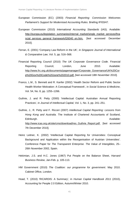- European Commission (EC) (2003) *Financial Reporting: Commission Welcomes Parliament's Support for Modernised Accounting Rules.* Briefing IP/03/47.
- European Commission (2010) *International Accounting Standards* (IAS). Available: [http://europa.eu/legislation\\_summaries/internal\\_market/single\\_market\\_services/fina](http://europa.eu/legislation_summaries/internal_market/single_market_services/financial_services_general_framework/l26040_en.htm) [ncial\\_services\\_general\\_framework/l26040\\_en.htm.](http://europa.eu/legislation_summaries/internal_market/single_market_services/financial_services_general_framework/l26040_en.htm) [last accessed December 2010].
- Ferran, E. (2001) 'Company Law Reform in the UK', in *Singapore Journal of International & Comparative Law*, Vol. 5, pp. 516–568.
- Financial Reporting Council (2010) *The UK Corporate Governance Code*. Financial Reporting Council, London, June 2010. Available: [http://www.frc.org.uk/documents/pagemanager/Corporate\\_Governance/UK%20Cor](http://www.frc.org.uk/documents/pagemanager/Corporate_Governance/UK%20Corp%20Gov%20Code%20June%202010.pdf) [p%20Gov%20Code%20June%202010.pdf.](http://www.frc.org.uk/documents/pagemanager/Corporate_Governance/UK%20Corp%20Gov%20Code%20June%202010.pdf) [last accessed 18th November 2010].
- Franco, L.M., S. Bennett and R. Kanfer (2002) 'Health Sector Reform and Public Sector Health Worker Motivation: A Conceptual Framework', in *Social Science & Medicine*, Vol. 54, No. 8, pp. 1255–1266.
- Guthrie, J. and R. Petty (2000) 'Intellectual Capital: Australian Annual Reporting Practices', in *Journal of Intellectual Capital*, Vol. 1, No. 3, pp. 241–251.
- Guthrie, J., R. Petty and F. Ricceri (2007) *Intellectual Capital Reporting: Lessons from Hong Kong and Australia.* The Institute of Chartered Accountants of Scotland, Edinburgh. Available: [http://www.icas.org.uk/site/cms/download/res\\_Guthrie\\_Report.pdf.](http://www.icas.org.uk/site/cms/download/res_Guthrie_Report.pdf) [last accessed 7th December 2010].
- Heinz Leitner, K. (2002) 'Intellectual Capital Reporting for Universities: Conceptual Background and Application within the Reorganisation of Austrian Universities'. Conference Paper for *The Transparent Enterprise. The Value of Intangibles*, 25– 26th November 2002, Spain.
- Hekimian, J.S. and H.C. Jones (1967) Put People on the Balance Sheet, *Harvard Business Review*, Jan-Feb. p, 105-113.
- HM Government (2010) *The Coalition: our programme for government*. May 2010. Cabinet Office, London.
- Hoad, T. (2010) 'RICARDIS: A Summary', in *Human Capital Handbook 2011* (2010), Accounting for People 2.0 Edition, Autumn/Winter 2010.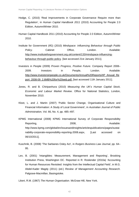- Hodge, C. (2010) 'Real Improvements in Corporate Governance Require more than Regulation', in *Human Capital Handbook 2011* (2010) Accounting for People 2.0 Edition, Autumn/Winter 2010.
- Human Capital Handbook 2011 (2010) Accounting for People 2.0 Edition, Autumn/Winter 2010.
- Institute for Government (IfG) (2010) *Mindspace: Influencing Behaviour through Public*  Policy. Cabinet Office, London. Available: [http://www.instituteforgovernment.org.uk/content/133/mindspace-influencing](http://www.instituteforgovernment.org.uk/content/133/mindspace-influencing-behaviour-through-public-policy)[behaviour-through-public-policy.](http://www.instituteforgovernment.org.uk/content/133/mindspace-influencing-behaviour-through-public-policy) [last accessed 21st January 2011].
- Investors in People (2009) *Proven Progress, Positive Future*. Company Report 2008– 2009. Investors in People, London. Available: [http://www.investorsinpeople.co.uk/Documents/Annual%20Reports/IIP\\_Anuual\\_Re](http://www.investorsinpeople.co.uk/Documents/Annual%20Reports/IIP_Anuual_Report_2008-09_2.6MB%20for%20web.pdf) [port\\_2008-09\\_2.6MB%20for%20web.pdf.](http://www.investorsinpeople.co.uk/Documents/Annual%20Reports/IIP_Anuual_Report_2008-09_2.6MB%20for%20web.pdf) [last accessed 11th January 2011].
- Jones, R. and B. Chiripanhura (2010) *Measuring the UK's Human Capital Stock, Economic and Labour Market Review*. Office for National Statistics, London, November 2010.
- Kloot, L. and J. Martin (2007) 'Public Sector Change, Organisational Culture and Financial Information: A Study of Local Government', in *Australian Journal of Public Administration*, Vol. 66, No. 4, pp. 485–497.
- KPMG International (2008) KPMG International Survey of Corporate Responsibility Reporting, The Contract of the 2008, The Contract Available: http://www.kpmg.com/global/en/issuesandinsights/articlespublications/pages/sustai nability-corporate-responsibility-reporting-2008.aspx, [Last accessed on 06/10/2011].
- Kuschnik, B. (2008) 'The Sarbanes Oxley Act', in *Rutgers Business Law Journal*, pp. 64– 95.
- Lev, B. (2001) 'Intangibles: Measurement, Management and Reporting', Brooking Institution Press, Washington DC. Reported in R. Roslender (2010a) 'Accounting for Human Resources Revisited: Insights from the Intellectual Capital Field', in M.G. Abdel-Kader Magdy (2011) (ed.) *Review of Management Accounting Research*. Palgrave-Macmillan, Basingstoke.

Likert, R.M. (1967) *The Human Organisation*. McGraw Hill, New York.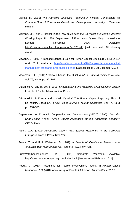- Mäkelä, H. (2009) *The Narrative Employee Reporting in Finland. Constructing the Common Goal of Continuous Growth and Development*. University of Tampere, Finland.
- Marrano, M.G. and J. Haskel (2006) *How much does the UK Invest in Intangible Assets?* Working Paper No. 578. Department of Economics, Queen Mary, University of London, November 2006. Available: [http://www.econ.qmul.ac.uk/papers/doc/wp578.pdf.](http://www.econ.qmul.ac.uk/papers/doc/wp578.pdf) [last accessed 11th January 2011].
- McCann, D. (2012) 'Proposed Standard Calls for Human Capital Disclosure', in *CFO*, 10<sup>th</sup> April 2012. Available: [http://www3.cfo.com/article/2012/4/people\\_human-capital](http://www3.cfo.com/article/2012/4/people_human-capital-management-standards-ansi-bassi-iso-shrm)[management-standards-ansi-bassi-iso-shrm](http://www3.cfo.com/article/2012/4/people_human-capital-management-standards-ansi-bassi-iso-shrm) [Last accessed 21st December 2012].
- Meyerson, D.E. (2001) 'Radical Change, the Quiet Way', in *Harvard Business Review*, Vol. 79, No. 9, pp. 92–104.
- O'Donnell, O. and R. Boyle (2008) *Understanding and Managing Organisational Culture*. Institute of Public Administration, Dublin.
- O'Donnell, L., R. Kramar and M. Cadiz Dyball (2009) 'Human Capital Reporting: Should it be Industry Specific?'', in *Asia Pacific Journal of Human Resources*, Vol. 47, No. 3, pp. 358–373.
- Organisation for Economic Cooperation and Development (OECD) (1996) *Measuring what People Know: Human Capital Accounting for the Knowledge Economy*. OECD, Paris.
- Paton, W.A. (1922) *Accounting Theory: with Special Reference to the Corporate Enterprise.* Ronald Press, New York.
- [Peters,](http://en.wikipedia.org/wiki/Tom_Peters) T. and R.H. [Waterman Jr](http://en.wikipedia.org/wiki/Robert_H._Waterman,_Jr.) (1982) *In Search of Excellence: Lessons from America's Best Run Companies*. Harper & Row, New York.
- PriceWaterhouseCoopers (PWC) (2011) *Corporate Reporting*. Available: [http://www.corporatereporting.com/index.html.](http://www.corporatereporting.com/index.html) [last accessed February 2011].
- Reddy, M. (2010) 'Accounting for People: Inconvenient Truths', in *Human Capital Handbook 2011* (2010) Accounting for People 2.0 Edition, Autumn/Winter 2010.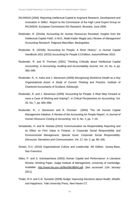- RICARDIS (2006) 'Reporting Intellectual Capital to Augment Research, Development and Innovation in SMEs'. Report to the Commission of the High Level Expert Group on RICARDIS. European Commission DG Research, Brussels, June 2006.
- Roslender, R. (2010a) 'Accounting for Human Resources Revisited: Insights from the Intellectual Capital Field', in M.G. Abdel-Kader Magdy (ed.) *Review of Management Accounting Research.* Palgrave-Macmillan, Basingstoke.
- Roslender, R. (2010b) 'Accounting for People: A Short History'', in *Human Capital Handbook 2011* (2010) Accounting for People 2.0 Edition, Autumn/Winter 2010.
- Roslender, R. and R. Fincham (2001) 'Thinking Critically about Intellectual Capital Accounting', in *Accounting, Auditing and Accountability Journal*, Vol. 14, No. 4, pp. 383–399.
- Roslender, R., K. Kahn and J. Stevenson (2009) *Recognising Workforce Health as a Key Organisational Asset: A Study of Current Thinking and Practice*. Institute of Chartered Accountants of Scotland, Edinburgh.
- Roslender, R. and J. Stevenson (2009) 'Accounting for People: A Real Step Forward or more a Case of Wishing and Hoping?', in *Critical Perspectives on Accounting*, Vol. 20, No. 7, pp. 855–869.
- Roslender, R., J. Stevenson and R. Fincham (2004) 'The UK Human Capital Management Initiative: A Review of the Accounting for People Report', in *Journal of Human Resource Costing & Accounting*, Vol. 8, No. 1, pp. 7–19.
- Schadewitz, H. and M. Niskala (2010) 'Communication via Responsibility Reporting and its Effect on Firm Value in Finland', in *Corporate Social Responsibility and Environmental Management, Special Issue: Corporate Social Responsibility: Discourse, Narratives and Communication*, [Vol. 17, No. 2, p](http://onlinelibrary.wiley.com/doi/10.1002/csr.v17:2/issuetoc)p. 96–106.
- Schein, E.H. (2010) *Organizational Culture and Leadership*, 4th Edition. Jossey-Bass, San Francisco.
- Stiles, P. and S. Kulvisaechana (2003) *Human Capital and Performance: A Literature Review*. Working Paper. Judge Institute of Management, University of Cambridge. Available: [http://www.bis.gov.uk/files/file38844.pdf.](http://www.bis.gov.uk/files/file38844.pdf) [last accessed 11th January 2011].
- [Thaler,](http://www.amazon.com/Richard-H.-Thaler/e/B000AP9OS4/ref=ntt_athr_dp_pel_1) R.H. and C.R. Sunstein (2008) *Nudge: Improving Decisions about Health, Wealth, and Happiness*. Yale University Press, New Haven CT.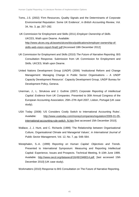Toms, J.S. (2002) 'Firm Resources, Quality Signals and the Determinants of Corporate Environmental Reputation: Some UK Evidence', in *British Accounting Review*, Vol. 34, No. 3, pp. 257–282.

UK Commission for Employment and Skills (2011) *Employer Ownership of Skills*. UKCES, Wath upon Dearne. Available: [http://www.ukces.org.uk/assets/ukces/docs/publications/employer-ownership-of](http://www.ukces.org.uk/assets/ukces/docs/publications/employer-ownership-of-skills-web-vision-report-final2.pdf)[skills-web-vision-report-final2.pdf](http://www.ukces.org.uk/assets/ukces/docs/publications/employer-ownership-of-skills-web-vision-report-final2.pdf) [Accessed 18th December 2012]

- UK Commission for Employment and Skills (2010) *The Future of Narrative Reporting*. BIS Consultation Response. Submission from UK Commission for Employment and Skills. UKCES, Wath upon Dearne.
- United Nations Development Group (UNDP) (2006) 'Institutional Reform and Change Management: Managing Change in Public Sector Organisations – A UNDP Capacity Development Resource'. Capacity Development Group, UNDP Bureau for Development Policy, Geneva.
- Unerman, J., L. Striukova and J. Guthrie (2007) *Corporate Reporting of Intellectual Capital: Evidence from UK Companies*. Presented to 30th Annual Congress of the European Accounting Association, 25th–27th April 2007, Lisbon, Portugal (UK case study).
- USA Today (2008) 'US Considers Costly Switch to International Accounting Rules'. Available: [http://www.usatoday.com/money/companies/regulation/2009-01-05](http://www.usatoday.com/money/companies/regulation/2009-01-05-international-accounting-rule-switch_N.htm) [international-accounting-rule-switch\\_N.htm](http://www.usatoday.com/money/companies/regulation/2009-01-05-international-accounting-rule-switch_N.htm) [last accessed 15th December 2010].
- Wallace, J, J. Hunt, and C. Richards (1999) 'The Relationship between Organisational Culture, Organisational Climate and Managerial Values', in *International Journal of Public Sector Management*, Vol. 12, No. 7, pp. 548–564.
- Westphalen, S.-A. (1999) *Reporting on Human Capital: Objectives and Trends*. Presented to International Symposium: Measuring and Reporting Intellectual Capital: Experience, Issues and Prospects. Technical Meeting, 9–10th June 1999. Available: [http://www.oecd.org/dataoecd/16/49/1948014.pdf.](http://www.oecd.org/dataoecd/16/49/1948014.pdf) [last accessed 15th December 2010] (UK case study).

Workmatters (2010) Response to BIS Consultation on The Future of Narrative Reporting.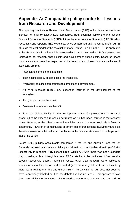### **Appendix A: Comparable policy contexts - lessons from Research and Development**

The reporting practices for Research and Development (R&D) in the UK and Australia are identical for publicly accountable companies. Both countries follow the International Financial Reporting Standards (IFRS), International Accounting Standards (IAS 38) when accounting and reporting R&D expenses. Once established and measured under IAS 38 (through the cost model or the revaluation model, which – unlike in the US – is applicable in the UK but only if the intangible asset trades in an active market) R&D expenses are reclassified as research phase costs and development phase costs. Research phase costs are always treated as expenses, while development phase costs are capitalised if six criteria are met:

- Intention to complete the intangible.
- Technical feasibility of completing the intangible.
- Availability of sufficient resources to complete the development.
- Ability to measure reliably any expenses incurred in the development of the intangible.
- Ability to sell or use the asset.
- Generate future economic benefit.

If it is not possible to distinguish the development phase of a project from the research phase, all of the expenditure should be treated as if it had been incurred in the research phase. Patents, as the other types of intangibles, are not reported explicitly in financial statements. However, in combinations or other types of transactions involving intangibles, these are valued (at a fair value) and reflected in the financial statement of the buyer (and that of the seller).

Before 2005, publicly accountable companies in the UK and Australia used the UK Generally Agreed Accountancy Principles (GAAP and Australian GAAP (A-GAAP)) respectively in reporting R&D expenditures. Within A-GAAP, there was not a standard way of dealing with all intangible assets. R&D costs had to be capitalised if "recoverable beyond reasonable doubt". Intangible assets, other than goodwill, were subject to revaluation even if no active market existed (which is a very different and substantially more liberal regime than the one under IFRS). The transition to IAS does not seem to have been widely debated or, if so, the debate has had no impact. This appears to have been caused by the imminence of the need to conform to international standards of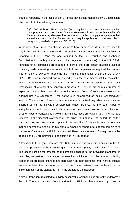financial reporting. In the case of the UK these have been mandated by EU legislation, which sets forth the following statement:

[by] 2005 all listed EU companies (including banks and insurance companies) must prepare their consolidated financial statements in strict accordance with IAS. Member States may also permit or require companies to apply the system to their annual accounts. Member States may also require application of the new rules in non-publicly traded companies (EC, 2010).

In the case of Australia, this change seems to have been necessitated by the need to stay in line with the rest of the world. The predominant accounting standard for financial reporting in the US (and the one required by the US Securities and Exchange Commission for publicly traded and other regulated companies) is the US GAAP. Although not all companies are required to follow it, there are certain situations, such as obtaining credit or seeking investors, in which those companies are required, by contract, also to follow GAAP when preparing their financial statements. Under the US GAAP, SFAS 142, once recognised and measured (using the cost model, not the revaluation model), R&D expenses are not treated as investments but as expenses. R&D costs (irrespective of whether they concern in-process R&D or not) are normally treated as expenses, unless they have alternative future use. Costs of software developed for external use are capitalised if the software is established as being technologically feasible. The costs of software for internal use are capitalised only when such costs are incurred during the software development stage. Patents, as the other types of intangibles, are not reported explicitly in financial statements. However, in combinations or other types of transactions involving intangibles, these are valued (at a fair value) and reflected in the financial statement of the buyer (and that of the seller). In certain circumstances and only for the purpose of comparability – for example, when a company that has operations outside the US plans to expand or report in format comparable to its competitors/partners – the IFRS may be used. Financial statements of foreign companies traded in the US are permitted to be submitted in IFRS format.

A transition to IFRS (and therefore IAS 38) for medium and small-sized entities in the UK has been proposed by the Accounting Standards Board (ASB) to take place from 2012. This sheds light on the process of implementing change to the prevailing standards. In particular, as part of this change, consultation is initiated with the aim of collecting feedback on proposed changes and particularly on their economic and financial impact. Various entities then express opinions which are reviewed and reflected in the implementation of the standards (not in the standards themselves).

A similar transition, restricted to publicly accountable companies, is currently underway in the US. There, a transition from US GAAP to IFRS has been agreed upon and is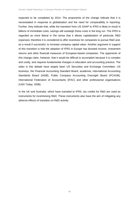expected to be completed by 2014. The proponents of the change indicate that it is necessitated in response to globalisation and the need for comparability in reporting. Further, they indicate that, while the transition from US GAAP to IFRS is likely to result in billions of immediate costs, savings will outweigh these costs in the long run. The IFRS is regarded as more liberal in the sense that it allows capitalisation of particular R&D expenses; therefore it is considered to offer incentives for companies to pursue R&D and, as a result if successful, to increase company capital value. Another argument in support of this transition is that the adoption of IFRS in Europe has boosted income, investment returns and other financial measures of European-based companies. The opponents of this change claim, however, that it would be difficult to accomplish because it is complex and costly, and requires fundamental changes in education and accounting practice. The sides in this debate have largely been US Securities and Exchange Committee, US business, the Financial Accounting Standard Board, academia, International Accounting Standards Board (IASB), Public Company Accounting Oversight Board (PCAOB), International Federation of Accountants (IFAC) and other professional organisations (USA Today, 2008).

In the UK and Australia, which have transited to IFRS, tax credits for R&D are used as instruments for incentivising R&D. These instruments also have the aim of mitigating any adverse effects of transition on R&D activity.